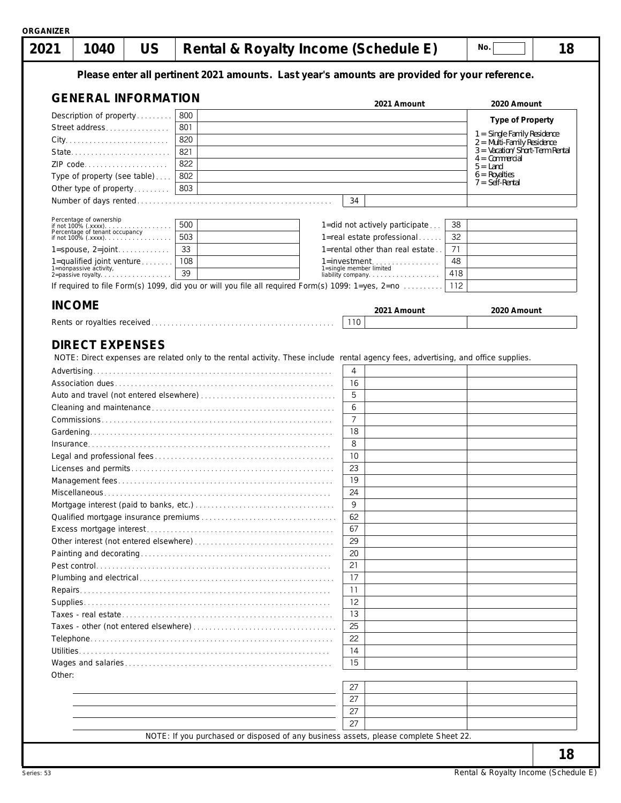| 2021<br>1040                                             | <b>US</b> |     |  |                                                                                                                                    |                           | Rental & Royalty Income (Schedule E)                                                              |     | No. |                                                             | 18 |
|----------------------------------------------------------|-----------|-----|--|------------------------------------------------------------------------------------------------------------------------------------|---------------------------|---------------------------------------------------------------------------------------------------|-----|-----|-------------------------------------------------------------|----|
|                                                          |           |     |  |                                                                                                                                    |                           | Please enter all pertinent 2021 amounts. Last year's amounts are provided for your reference.     |     |     |                                                             |    |
| <b>GENERAL INFORMATION</b>                               |           |     |  |                                                                                                                                    |                           | 2021 Amount                                                                                       |     |     | 2020 Amount                                                 |    |
| Description of property                                  |           | 800 |  |                                                                                                                                    |                           |                                                                                                   |     |     | <b>Type of Property</b>                                     |    |
| Street address                                           |           | 801 |  |                                                                                                                                    |                           |                                                                                                   |     |     |                                                             |    |
|                                                          |           | 820 |  |                                                                                                                                    |                           |                                                                                                   |     |     | 1 = Single Family Residence<br>$2 =$ Multi-Family Residence |    |
| State                                                    |           | 821 |  |                                                                                                                                    |                           |                                                                                                   |     |     | $3 =$ Vacation/Short-Term Rental<br>$4 =$ Commercial        |    |
| ZIP code                                                 |           | 822 |  |                                                                                                                                    |                           |                                                                                                   |     |     | $5 =$ Land                                                  |    |
| Type of property (see table)                             |           | 802 |  |                                                                                                                                    |                           |                                                                                                   |     |     | $6$ = Royalties<br>$7 =$ Self-Rental                        |    |
| Other type of property                                   |           | 803 |  |                                                                                                                                    |                           |                                                                                                   |     |     |                                                             |    |
|                                                          |           |     |  |                                                                                                                                    | 34                        |                                                                                                   |     |     |                                                             |    |
| Percentage of ownership                                  |           | 500 |  |                                                                                                                                    |                           | 1=did not actively participate                                                                    | 38  |     |                                                             |    |
| Percentage of tenant occupancy<br>if not 100% $(xxxx)$ . |           | 503 |  |                                                                                                                                    |                           | 1=real estate professional                                                                        | 32  |     |                                                             |    |
| $1 =$ spouse, $2 =$ joint                                |           | 33  |  |                                                                                                                                    |                           | 1=rental other than real estate                                                                   | 71  |     |                                                             |    |
| 1=qualified joint venture                                |           | 108 |  |                                                                                                                                    |                           | $1 =$ investment                                                                                  | 48  |     |                                                             |    |
| 1=nonpassive activity,<br>2=passive royalty.             |           | 39  |  |                                                                                                                                    | 1=single member limited   | liability company.                                                                                | 418 |     |                                                             |    |
|                                                          |           |     |  |                                                                                                                                    |                           | If required to file Form(s) 1099, did you or will you file all required Form(s) 1099: 1=yes, 2=no | 112 |     |                                                             |    |
|                                                          |           |     |  |                                                                                                                                    |                           |                                                                                                   |     |     |                                                             |    |
| <b>INCOME</b>                                            |           |     |  |                                                                                                                                    |                           | 2021 Amount                                                                                       |     |     | 2020 Amount                                                 |    |
|                                                          |           |     |  |                                                                                                                                    | 110                       |                                                                                                   |     |     |                                                             |    |
|                                                          |           |     |  | NOTE: Direct expenses are related only to the rental activity. These include rental agency fees, advertising, and office supplies. | $\overline{4}$<br>16<br>5 |                                                                                                   |     |     |                                                             |    |
|                                                          |           |     |  |                                                                                                                                    | 6<br>$\overline{7}$       |                                                                                                   |     |     |                                                             |    |
|                                                          |           |     |  |                                                                                                                                    | 18                        |                                                                                                   |     |     |                                                             |    |
|                                                          |           |     |  |                                                                                                                                    | 8<br>10                   |                                                                                                   |     |     |                                                             |    |
|                                                          |           |     |  |                                                                                                                                    | 23                        |                                                                                                   |     |     |                                                             |    |
|                                                          |           |     |  |                                                                                                                                    | 19                        |                                                                                                   |     |     |                                                             |    |
|                                                          |           |     |  |                                                                                                                                    | 24                        |                                                                                                   |     |     |                                                             |    |
|                                                          |           |     |  |                                                                                                                                    | 9                         |                                                                                                   |     |     |                                                             |    |
|                                                          |           |     |  |                                                                                                                                    | 62                        |                                                                                                   |     |     |                                                             |    |
|                                                          |           |     |  |                                                                                                                                    | 67                        |                                                                                                   |     |     |                                                             |    |
|                                                          |           |     |  |                                                                                                                                    | 29                        |                                                                                                   |     |     |                                                             |    |
|                                                          |           |     |  |                                                                                                                                    | 20                        |                                                                                                   |     |     |                                                             |    |
|                                                          |           |     |  |                                                                                                                                    | 21                        |                                                                                                   |     |     |                                                             |    |
|                                                          |           |     |  |                                                                                                                                    | 17                        |                                                                                                   |     |     |                                                             |    |
|                                                          |           |     |  |                                                                                                                                    | 11                        |                                                                                                   |     |     |                                                             |    |
|                                                          |           |     |  |                                                                                                                                    | 12<br>13                  |                                                                                                   |     |     |                                                             |    |
|                                                          |           |     |  |                                                                                                                                    | 25                        |                                                                                                   |     |     |                                                             |    |
|                                                          |           |     |  |                                                                                                                                    | 22                        |                                                                                                   |     |     |                                                             |    |
|                                                          |           |     |  |                                                                                                                                    | 14                        |                                                                                                   |     |     |                                                             |    |
|                                                          |           |     |  |                                                                                                                                    | 15                        |                                                                                                   |     |     |                                                             |    |
| Other:                                                   |           |     |  |                                                                                                                                    |                           |                                                                                                   |     |     |                                                             |    |
|                                                          |           |     |  |                                                                                                                                    | 27                        |                                                                                                   |     |     |                                                             |    |
|                                                          |           |     |  |                                                                                                                                    | 27                        |                                                                                                   |     |     |                                                             |    |
|                                                          |           |     |  |                                                                                                                                    | 27<br>27                  |                                                                                                   |     |     |                                                             |    |